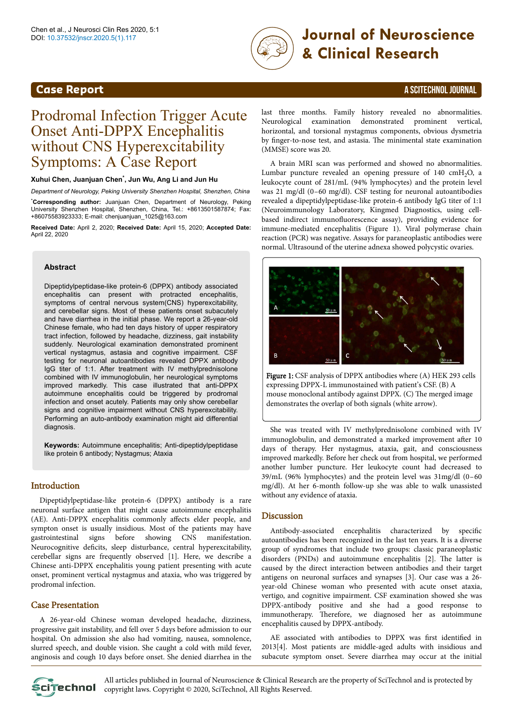

# DOI: 10.37532/jnscr.2020.5(1).117 **Journal of Neuroscience & Clinical Research**

# **Case Report** A SCITECHNOL JOURNAL

# Prodromal Infection Trigger Acute Onset Anti-DPPX Encephalitis without CNS Hyperexcitability Symptoms: A Case Report

#### **Xuhui Chen, Juanjuan Chen\* , Jun Wu, Ang Li and Jun Hu**

*Department of Neurology, Peking University Shenzhen Hospital, Shenzhen, China* \***Corresponding author:** Juanjuan Chen, Department of Neurology, Peking University Shenzhen Hospital, Shenzhen, China, Tel.: +8613501587874; Fax: +86075583923333; E-mail: chenjuanjuan\_1025@163.com

**Received Date:** April 2, 2020; **Received Date:** April 15, 2020; **Accepted Date:** April 22, 2020

#### **Abstract**

Dipeptidylpeptidase-like protein-6 (DPPX) antibody associated encephalitis can present with protracted encephalitis, symptoms of central nervous system(CNS) hyperexcitability, and cerebellar signs. Most of these patients onset subacutely and have diarrhea in the initial phase. We report a 26-year-old Chinese female, who had ten days history of upper respiratory tract infection, followed by headache, dizziness, gait instability suddenly. Neurological examination demonstrated prominent vertical nystagmus, astasia and cognitive impairment. CSF testing for neuronal autoantibodies revealed DPPX antibody IgG titer of 1:1. After treatment with IV methylprednisolone combined with IV immunoglobulin, her neurological symptoms improved markedly. This case illustrated that anti-DPPX autoimmune encephalitis could be triggered by prodromal infection and onset acutely. Patients may only show cerebellar signs and cognitive impairment without CNS hyperexcitability. Performing an auto-antibody examination might aid differential diagnosis.

**Keywords:** Autoimmune encephalitis; Anti-dipeptidylpeptidase like protein 6 antibody; Nystagmus; Ataxia

# Introduction

Dipeptidylpeptidase-like protein-6 (DPPX) antibody is a rare neuronal surface antigen that might cause autoimmune encephalitis (AE). Anti-DPPX encephalitis commonly affects elder people, and sympton onset is usually insidious. Most of the patients may have gastrointestinal signs before showing CNS manifestation. Neurocognitive deficits, sleep disturbance, central hyperexcitability, cerebellar signs are frequently observed [1]. Here, we describe a Chinese anti-DPPX encephalitis young patient presenting with acute onset, prominent vertical nystagmus and ataxia, who was triggered by prodromal infection.

## Case Presentation

A 26-year-old Chinese woman developed headache, dizziness, progressive gait instability, and fell over 5 days before admission to our hospital. On admission she also had vomiting, nausea, somnolence, slurred speech, and double vision. She caught a cold with mild fever, anginosis and cough 10 days before onset. She denied diarrhea in the

last three months. Family history revealed no abnormalities. Neurological examination demonstrated prominent vertical, horizontal, and torsional nystagmus components, obvious dysmetria by finger-to-nose test, and astasia. Нe minimental state examination (MMSE) score was 20.

A brain MRI scan was performed and showed no abnormalities. Lumbar puncture revealed an opening pressure of  $140 \text{ cm}H_2\text{O}$ , a leukocyte count of 281/mL (94% lymphocytes) and the protein level was 21 mg/dl (0–60 mg/dl). CSF testing for neuronal autoantibodies revealed a dipeptidylpeptidase-like protein-6 antibody IgG titer of 1:1 (Neuroimmunology Laboratory, Kingmed Diagnostics, using cellbased indirect immunofluorescence assay), providing evidence for immune-mediated encephalitis (Figure 1). Viral polymerase chain reaction (PCR) was negative. Assays for paraneoplastic antibodies were normal. Ultrasound of the uterine adnexa showed polycystic ovaries.



Figure 1: CSF analysis of DPPX antibodies where (A) HEK 293 cells expressing DPPX-L immunostained with patient's CSF. (B) A mouse monoclonal antibody against DPPX. (C) The merged image demonstrates the overlap of both signals (white arrow).

She was treated with IV methylprednisolone combined with IV immunoglobulin, and demonstrated a marked improvement after 10 days of therapy. Her nystagmus, ataxia, gait, and consciousness improved markedly. Before her check out from hospital, we performed another lumber puncture. Her leukocyte count had decreased to 39/mL (96% lymphocytes) and the protein level was 31mg/dl (0–60 mg/dl). At her 6-month follow-up she was able to walk unassisted without any evidence of ataxia.

#### **Discussion**

Antibody-associated encephalitis characterized by specific autoantibodies has been recognized in the last ten years. It is a diverse group of syndromes that include two groups: classic paraneoplastic disorders (PNDs) and autoimmune encephalitis [2]. Нe latter is caused by the direct interaction between antibodies and their target antigens on neuronal surfaces and synapses [3]. Our case was a 26 year-old Chinese woman who presented with acute onset ataxia, vertigo, and cognitive impairment. CSF examination showed she was DPPX-antibody positive and she had a good response to immunotherapy. Нerefore, we diagnosed her as autoimmune encephalitis caused by DPPX-antibody.

AE associated with antibodies to DPPX was first identified in 2013[4]. Most patients are middle-aged adults with insidious and subacute symptom onset. Severe diarrhea may occur at the initial



All articles published in Journal of Neuroscience & Clinical Research are the property of SciTechnol and is protected by Scitechnol copyright laws. Copyright © 2020, SciTechnol, All Rights Reserved.